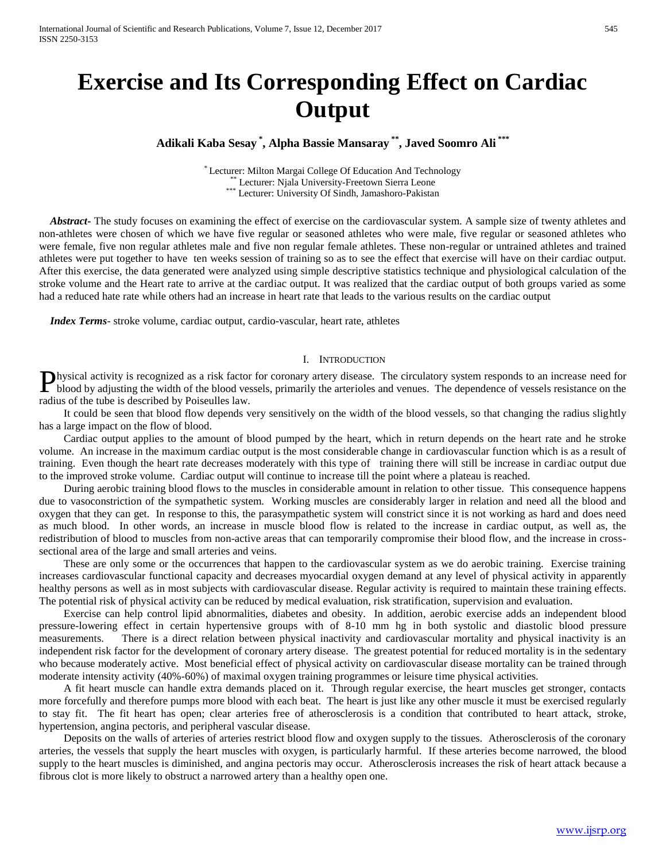# **Exercise and Its Corresponding Effect on Cardiac Output**

**Adikali Kaba Sesay \* , Alpha Bassie Mansaray \*\* , Javed Soomro Ali \*\*\***

\* Lecturer: Milton Margai College Of Education And Technology \* Lecturer: Njala University-Freetown Sierra Leone \*\*\* Lecturer: University Of Sindh, Jamashoro-Pakistan

 *Abstract***-** The study focuses on examining the effect of exercise on the cardiovascular system. A sample size of twenty athletes and non-athletes were chosen of which we have five regular or seasoned athletes who were male, five regular or seasoned athletes who were female, five non regular athletes male and five non regular female athletes. These non-regular or untrained athletes and trained athletes were put together to have ten weeks session of training so as to see the effect that exercise will have on their cardiac output. After this exercise, the data generated were analyzed using simple descriptive statistics technique and physiological calculation of the stroke volume and the Heart rate to arrive at the cardiac output. It was realized that the cardiac output of both groups varied as some had a reduced hate rate while others had an increase in heart rate that leads to the various results on the cardiac output

 *Index Terms*- stroke volume, cardiac output, cardio-vascular, heart rate, athletes

#### I. INTRODUCTION

hysical activity is recognized as a risk factor for coronary artery disease. The circulatory system responds to an increase need for **Physical activity is recognized as a risk factor for coronary artery disease.** The circulatory system responds to an increase need for blood by adjusting the width of the blood vessels, primarily the arterioles and venues radius of the tube is described by Poiseulles law.

 It could be seen that blood flow depends very sensitively on the width of the blood vessels, so that changing the radius slightly has a large impact on the flow of blood.

 Cardiac output applies to the amount of blood pumped by the heart, which in return depends on the heart rate and he stroke volume. An increase in the maximum cardiac output is the most considerable change in cardiovascular function which is as a result of training. Even though the heart rate decreases moderately with this type of training there will still be increase in cardiac output due to the improved stroke volume. Cardiac output will continue to increase till the point where a plateau is reached.

 During aerobic training blood flows to the muscles in considerable amount in relation to other tissue. This consequence happens due to vasoconstriction of the sympathetic system. Working muscles are considerably larger in relation and need all the blood and oxygen that they can get. In response to this, the parasympathetic system will constrict since it is not working as hard and does need as much blood. In other words, an increase in muscle blood flow is related to the increase in cardiac output, as well as, the redistribution of blood to muscles from non-active areas that can temporarily compromise their blood flow, and the increase in crosssectional area of the large and small arteries and veins.

 These are only some or the occurrences that happen to the cardiovascular system as we do aerobic training. Exercise training increases cardiovascular functional capacity and decreases myocardial oxygen demand at any level of physical activity in apparently healthy persons as well as in most subjects with cardiovascular disease. Regular activity is required to maintain these training effects. The potential risk of physical activity can be reduced by medical evaluation, risk stratification, supervision and evaluation.

 Exercise can help control lipid abnormalities, diabetes and obesity. In addition, aerobic exercise adds an independent blood pressure-lowering effect in certain hypertensive groups with of 8-10 mm hg in both systolic and diastolic blood pressure measurements. There is a direct relation between physical inactivity and cardiovascular mortality and physical inactivity is an independent risk factor for the development of coronary artery disease. The greatest potential for reduced mortality is in the sedentary who because moderately active. Most beneficial effect of physical activity on cardiovascular disease mortality can be trained through moderate intensity activity (40%-60%) of maximal oxygen training programmes or leisure time physical activities.

 A fit heart muscle can handle extra demands placed on it. Through regular exercise, the heart muscles get stronger, contacts more forcefully and therefore pumps more blood with each beat. The heart is just like any other muscle it must be exercised regularly to stay fit. The fit heart has open; clear arteries free of atherosclerosis is a condition that contributed to heart attack, stroke, hypertension, angina pectoris, and peripheral vascular disease.

 Deposits on the walls of arteries of arteries restrict blood flow and oxygen supply to the tissues. Atherosclerosis of the coronary arteries, the vessels that supply the heart muscles with oxygen, is particularly harmful. If these arteries become narrowed, the blood supply to the heart muscles is diminished, and angina pectoris may occur. Atherosclerosis increases the risk of heart attack because a fibrous clot is more likely to obstruct a narrowed artery than a healthy open one.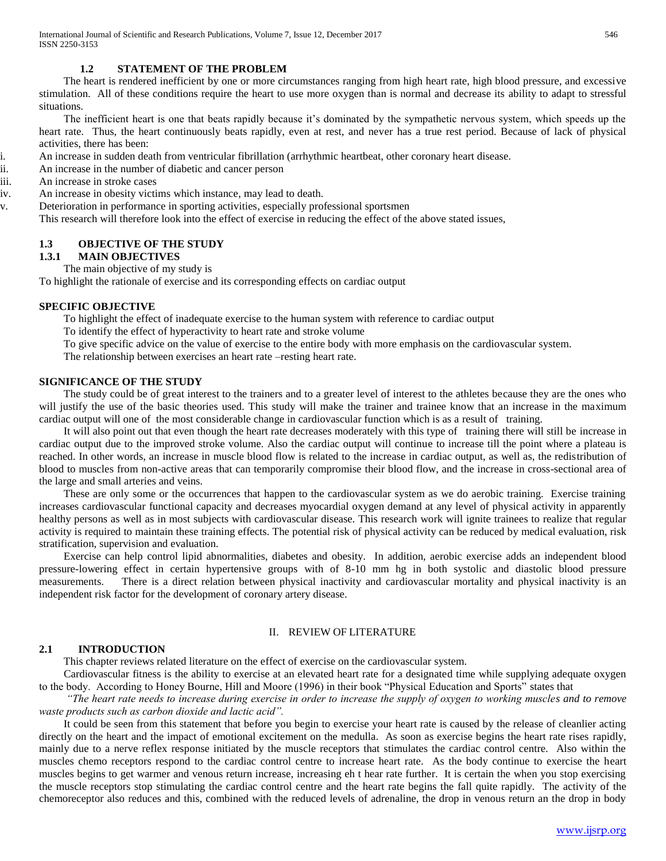#### **1.2 STATEMENT OF THE PROBLEM**

 The heart is rendered inefficient by one or more circumstances ranging from high heart rate, high blood pressure, and excessive stimulation. All of these conditions require the heart to use more oxygen than is normal and decrease its ability to adapt to stressful situations.

 The inefficient heart is one that beats rapidly because it"s dominated by the sympathetic nervous system, which speeds up the heart rate. Thus, the heart continuously beats rapidly, even at rest, and never has a true rest period. Because of lack of physical activities, there has been:

i. An increase in sudden death from ventricular fibrillation (arrhythmic heartbeat, other coronary heart disease.

ii. An increase in the number of diabetic and cancer person

iii. An increase in stroke cases

iv. An increase in obesity victims which instance, may lead to death.

v. Deterioration in performance in sporting activities, especially professional sportsmen

This research will therefore look into the effect of exercise in reducing the effect of the above stated issues,

## **1.3 OBJECTIVE OF THE STUDY**

## **1.3.1 MAIN OBJECTIVES**

The main objective of my study is

To highlight the rationale of exercise and its corresponding effects on cardiac output

#### **SPECIFIC OBJECTIVE**

1. To highlight the effect of inadequate exercise to the human system with reference to cardiac output

2. To identify the effect of hyperactivity to heart rate and stroke volume

3. To give specific advice on the value of exercise to the entire body with more emphasis on the cardiovascular system.

The relationship between exercises an heart rate –resting heart rate.

#### **SIGNIFICANCE OF THE STUDY**

 The study could be of great interest to the trainers and to a greater level of interest to the athletes because they are the ones who will justify the use of the basic theories used. This study will make the trainer and trainee know that an increase in the maximum cardiac output will one of the most considerable change in cardiovascular function which is as a result of training.

 It will also point out that even though the heart rate decreases moderately with this type of training there will still be increase in cardiac output due to the improved stroke volume. Also the cardiac output will continue to increase till the point where a plateau is reached. In other words, an increase in muscle blood flow is related to the increase in cardiac output, as well as, the redistribution of blood to muscles from non-active areas that can temporarily compromise their blood flow, and the increase in cross-sectional area of the large and small arteries and veins.

 These are only some or the occurrences that happen to the cardiovascular system as we do aerobic training. Exercise training increases cardiovascular functional capacity and decreases myocardial oxygen demand at any level of physical activity in apparently healthy persons as well as in most subjects with cardiovascular disease. This research work will ignite trainees to realize that regular activity is required to maintain these training effects. The potential risk of physical activity can be reduced by medical evaluation, risk stratification, supervision and evaluation.

 Exercise can help control lipid abnormalities, diabetes and obesity. In addition, aerobic exercise adds an independent blood pressure-lowering effect in certain hypertensive groups with of 8-10 mm hg in both systolic and diastolic blood pressure measurements. There is a direct relation between physical inactivity and cardiovascular mortality and physical inactivity is an independent risk factor for the development of coronary artery disease.

#### II. REVIEW OF LITERATURE

#### **2.1 INTRODUCTION**

This chapter reviews related literature on the effect of exercise on the cardiovascular system.

 Cardiovascular fitness is the ability to exercise at an elevated heart rate for a designated time while supplying adequate oxygen to the body. According to Honey Bourne, Hill and Moore (1996) in their book "Physical Education and Sports" states that

 *"The heart rate needs to increase during exercise in order to increase the supply of oxygen to working muscles and to remove waste products such as carbon dioxide and lactic acid".*

 It could be seen from this statement that before you begin to exercise your heart rate is caused by the release of cleanlier acting directly on the heart and the impact of emotional excitement on the medulla. As soon as exercise begins the heart rate rises rapidly, mainly due to a nerve reflex response initiated by the muscle receptors that stimulates the cardiac control centre. Also within the muscles chemo receptors respond to the cardiac control centre to increase heart rate. As the body continue to exercise the heart muscles begins to get warmer and venous return increase, increasing eh t hear rate further. It is certain the when you stop exercising the muscle receptors stop stimulating the cardiac control centre and the heart rate begins the fall quite rapidly. The activity of the chemoreceptor also reduces and this, combined with the reduced levels of adrenaline, the drop in venous return an the drop in body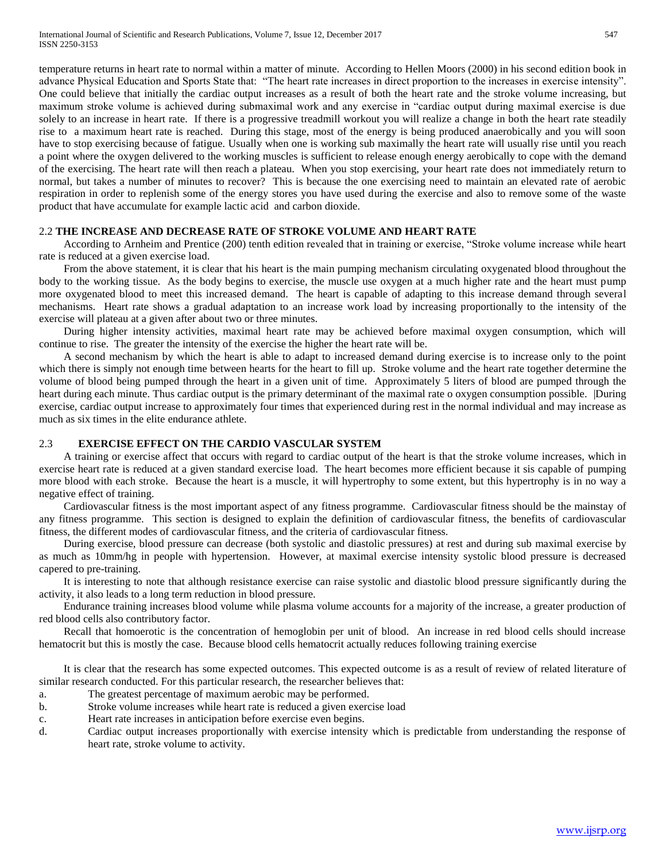temperature returns in heart rate to normal within a matter of minute. According to Hellen Moors (2000) in his second edition book in advance Physical Education and Sports State that: "The heart rate increases in direct proportion to the increases in exercise intensity". One could believe that initially the cardiac output increases as a result of both the heart rate and the stroke volume increasing, but maximum stroke volume is achieved during submaximal work and any exercise in "cardiac output during maximal exercise is due solely to an increase in heart rate. If there is a progressive treadmill workout you will realize a change in both the heart rate steadily rise to a maximum heart rate is reached. During this stage, most of the energy is being produced anaerobically and you will soon have to stop exercising because of fatigue. Usually when one is working sub maximally the heart rate will usually rise until you reach a point where the oxygen delivered to the working muscles is sufficient to release enough energy aerobically to cope with the demand of the exercising. The heart rate will then reach a plateau. When you stop exercising, your heart rate does not immediately return to normal, but takes a number of minutes to recover? This is because the one exercising need to maintain an elevated rate of aerobic respiration in order to replenish some of the energy stores you have used during the exercise and also to remove some of the waste product that have accumulate for example lactic acid and carbon dioxide.

#### 2.2 **THE INCREASE AND DECREASE RATE OF STROKE VOLUME AND HEART RATE**

 According to Arnheim and Prentice (200) tenth edition revealed that in training or exercise, "Stroke volume increase while heart rate is reduced at a given exercise load.

 From the above statement, it is clear that his heart is the main pumping mechanism circulating oxygenated blood throughout the body to the working tissue. As the body begins to exercise, the muscle use oxygen at a much higher rate and the heart must pump more oxygenated blood to meet this increased demand. The heart is capable of adapting to this increase demand through several mechanisms. Heart rate shows a gradual adaptation to an increase work load by increasing proportionally to the intensity of the exercise will plateau at a given after about two or three minutes.

 During higher intensity activities, maximal heart rate may be achieved before maximal oxygen consumption, which will continue to rise. The greater the intensity of the exercise the higher the heart rate will be.

 A second mechanism by which the heart is able to adapt to increased demand during exercise is to increase only to the point which there is simply not enough time between hearts for the heart to fill up. Stroke volume and the heart rate together determine the volume of blood being pumped through the heart in a given unit of time. Approximately 5 liters of blood are pumped through the heart during each minute. Thus cardiac output is the primary determinant of the maximal rate o oxygen consumption possible. |During exercise, cardiac output increase to approximately four times that experienced during rest in the normal individual and may increase as much as six times in the elite endurance athlete.

### 2.3 **EXERCISE EFFECT ON THE CARDIO VASCULAR SYSTEM**

 A training or exercise affect that occurs with regard to cardiac output of the heart is that the stroke volume increases, which in exercise heart rate is reduced at a given standard exercise load. The heart becomes more efficient because it sis capable of pumping more blood with each stroke. Because the heart is a muscle, it will hypertrophy to some extent, but this hypertrophy is in no way a negative effect of training.

 Cardiovascular fitness is the most important aspect of any fitness programme. Cardiovascular fitness should be the mainstay of any fitness programme. This section is designed to explain the definition of cardiovascular fitness, the benefits of cardiovascular fitness, the different modes of cardiovascular fitness, and the criteria of cardiovascular fitness.

 During exercise, blood pressure can decrease (both systolic and diastolic pressures) at rest and during sub maximal exercise by as much as 10mm/hg in people with hypertension. However, at maximal exercise intensity systolic blood pressure is decreased capered to pre-training.

 It is interesting to note that although resistance exercise can raise systolic and diastolic blood pressure significantly during the activity, it also leads to a long term reduction in blood pressure.

 Endurance training increases blood volume while plasma volume accounts for a majority of the increase, a greater production of red blood cells also contributory factor.

 Recall that homoerotic is the concentration of hemoglobin per unit of blood. An increase in red blood cells should increase hematocrit but this is mostly the case. Because blood cells hematocrit actually reduces following training exercise

 It is clear that the research has some expected outcomes. This expected outcome is as a result of review of related literature of similar research conducted. For this particular research, the researcher believes that:

- a. The greatest percentage of maximum aerobic may be performed.
- b. Stroke volume increases while heart rate is reduced a given exercise load
- c. Heart rate increases in anticipation before exercise even begins.
- d. Cardiac output increases proportionally with exercise intensity which is predictable from understanding the response of heart rate, stroke volume to activity.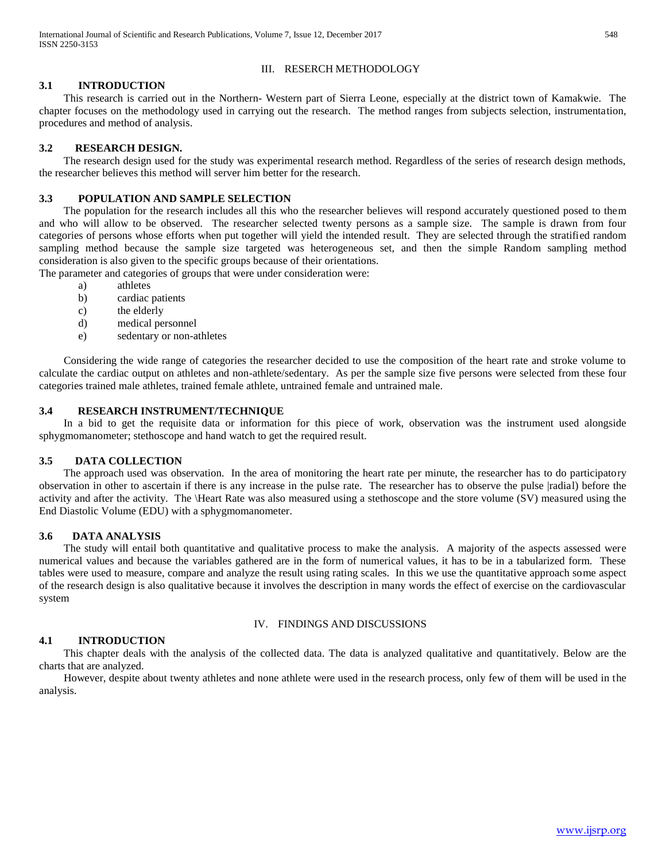## III. RESERCH METHODOLOGY

#### **3.1 INTRODUCTION**

 This research is carried out in the Northern- Western part of Sierra Leone, especially at the district town of Kamakwie. The chapter focuses on the methodology used in carrying out the research. The method ranges from subjects selection, instrumentation, procedures and method of analysis.

## **3.2 RESEARCH DESIGN.**

 The research design used for the study was experimental research method. Regardless of the series of research design methods, the researcher believes this method will server him better for the research.

## **3.3 POPULATION AND SAMPLE SELECTION**

 The population for the research includes all this who the researcher believes will respond accurately questioned posed to them and who will allow to be observed. The researcher selected twenty persons as a sample size. The sample is drawn from four categories of persons whose efforts when put together will yield the intended result. They are selected through the stratified random sampling method because the sample size targeted was heterogeneous set, and then the simple Random sampling method consideration is also given to the specific groups because of their orientations.

The parameter and categories of groups that were under consideration were:

- a) athletes
- b) cardiac patients
- c) the elderly
- d) medical personnel
- e) sedentary or non-athletes

 Considering the wide range of categories the researcher decided to use the composition of the heart rate and stroke volume to calculate the cardiac output on athletes and non-athlete/sedentary. As per the sample size five persons were selected from these four categories trained male athletes, trained female athlete, untrained female and untrained male.

#### **3.4 RESEARCH INSTRUMENT/TECHNIQUE**

 In a bid to get the requisite data or information for this piece of work, observation was the instrument used alongside sphygmomanometer; stethoscope and hand watch to get the required result.

#### **3.5 DATA COLLECTION**

 The approach used was observation. In the area of monitoring the heart rate per minute, the researcher has to do participatory observation in other to ascertain if there is any increase in the pulse rate. The researcher has to observe the pulse |radial) before the activity and after the activity. The \Heart Rate was also measured using a stethoscope and the store volume (SV) measured using the End Diastolic Volume (EDU) with a sphygmomanometer.

#### **3.6 DATA ANALYSIS**

The study will entail both quantitative and qualitative process to make the analysis. A majority of the aspects assessed were numerical values and because the variables gathered are in the form of numerical values, it has to be in a tabularized form. These tables were used to measure, compare and analyze the result using rating scales. In this we use the quantitative approach some aspect of the research design is also qualitative because it involves the description in many words the effect of exercise on the cardiovascular system

#### IV. FINDINGS AND DISCUSSIONS

#### **4.1 INTRODUCTION**

 This chapter deals with the analysis of the collected data. The data is analyzed qualitative and quantitatively. Below are the charts that are analyzed.

 However, despite about twenty athletes and none athlete were used in the research process, only few of them will be used in the analysis.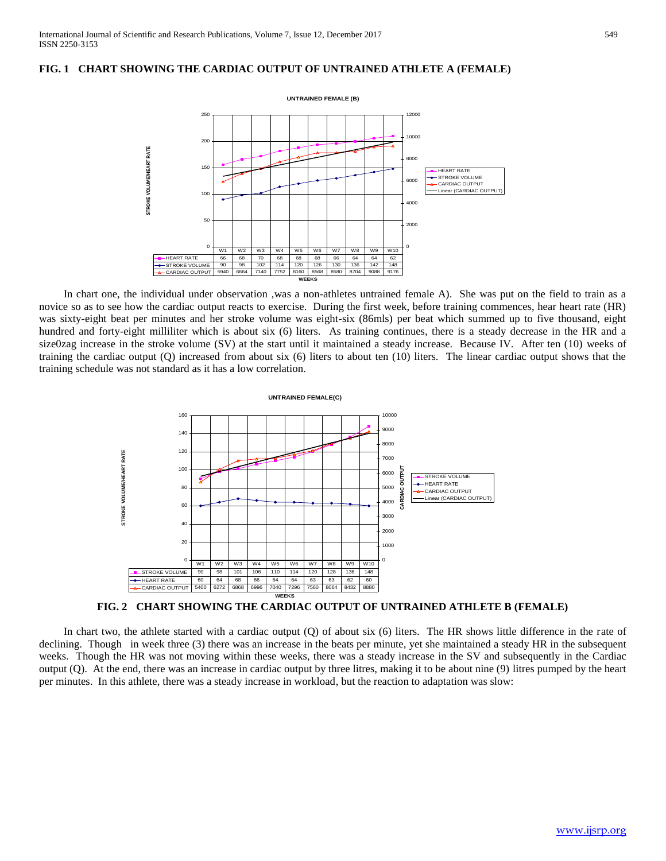#### **FIG. 1 CHART SHOWING THE CARDIAC OUTPUT OF UNTRAINED ATHLETE A (FEMALE)**



 In chart one, the individual under observation ,was a non-athletes untrained female A). She was put on the field to train as a novice so as to see how the cardiac output reacts to exercise. During the first week, before training commences, hear heart rate (HR) was sixty-eight beat per minutes and her stroke volume was eight-six (86mls) per beat which summed up to five thousand, eight hundred and forty-eight milliliter which is about six (6) liters. As training continues, there is a steady decrease in the HR and a size0zag increase in the stroke volume (SV) at the start until it maintained a steady increase. Because IV. After ten (10) weeks of training the cardiac output (Q) increased from about six (6) liters to about ten (10) liters. The linear cardiac output shows that the training schedule was not standard as it has a low correlation.



**FIG. 2 CHART SHOWING THE CARDIAC OUTPUT OF UNTRAINED ATHLETE B (FEMALE)**

In chart two, the athlete started with a cardiac output (Q) of about six (6) liters. The HR shows little difference in the rate of declining. Though in week three (3) there was an increase in the beats per minute, yet she maintained a steady HR in the subsequent weeks. Though the HR was not moving within these weeks, there was a steady increase in the SV and subsequently in the Cardiac output (Q). At the end, there was an increase in cardiac output by three litres, making it to be about nine (9) litres pumped by the heart per minutes. In this athlete, there was a steady increase in workload, but the reaction to adaptation was slow: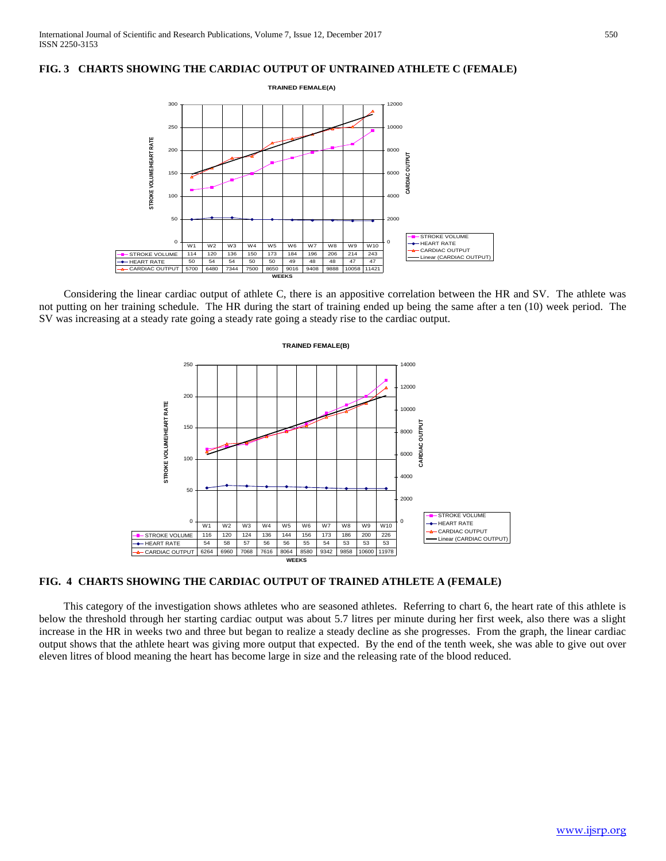#### **FIG. 3 CHARTS SHOWING THE CARDIAC OUTPUT OF UNTRAINED ATHLETE C (FEMALE)**



 Considering the linear cardiac output of athlete C, there is an appositive correlation between the HR and SV. The athlete was not putting on her training schedule. The HR during the start of training ended up being the same after a ten (10) week period. The SV was increasing at a steady rate going a steady rate going a steady rise to the cardiac output.



#### **FIG. 4 CHARTS SHOWING THE CARDIAC OUTPUT OF TRAINED ATHLETE A (FEMALE)**

 This category of the investigation shows athletes who are seasoned athletes. Referring to chart 6, the heart rate of this athlete is below the threshold through her starting cardiac output was about 5.7 litres per minute during her first week, also there was a slight increase in the HR in weeks two and three but began to realize a steady decline as she progresses. From the graph, the linear cardiac output shows that the athlete heart was giving more output that expected. By the end of the tenth week, she was able to give out over eleven litres of blood meaning the heart has become large in size and the releasing rate of the blood reduced.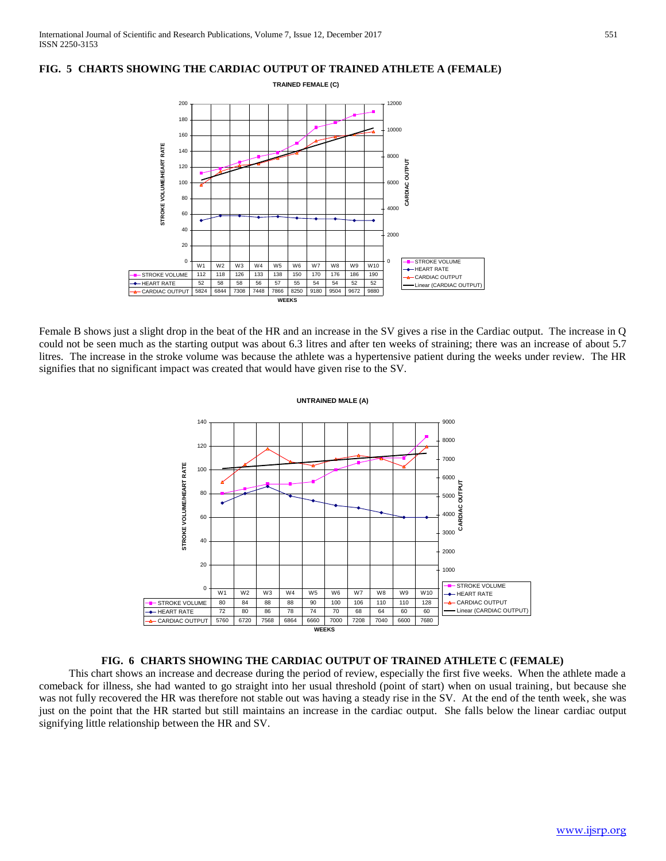#### **FIG. 5 CHARTS SHOWING THE CARDIAC OUTPUT OF TRAINED ATHLETE A (FEMALE)**



Female B shows just a slight drop in the beat of the HR and an increase in the SV gives a rise in the Cardiac output. The increase in Q could not be seen much as the starting output was about 6.3 litres and after ten weeks of straining; there was an increase of about 5.7 litres. The increase in the stroke volume was because the athlete was a hypertensive patient during the weeks under review. The HR signifies that no significant impact was created that would have given rise to the SV.



# **FIG. 6 CHARTS SHOWING THE CARDIAC OUTPUT OF TRAINED ATHLETE C (FEMALE)**

 This chart shows an increase and decrease during the period of review, especially the first five weeks. When the athlete made a comeback for illness, she had wanted to go straight into her usual threshold (point of start) when on usual training, but because she was not fully recovered the HR was therefore not stable out was having a steady rise in the SV. At the end of the tenth week, she was just on the point that the HR started but still maintains an increase in the cardiac output. She falls below the linear cardiac output signifying little relationship between the HR and SV.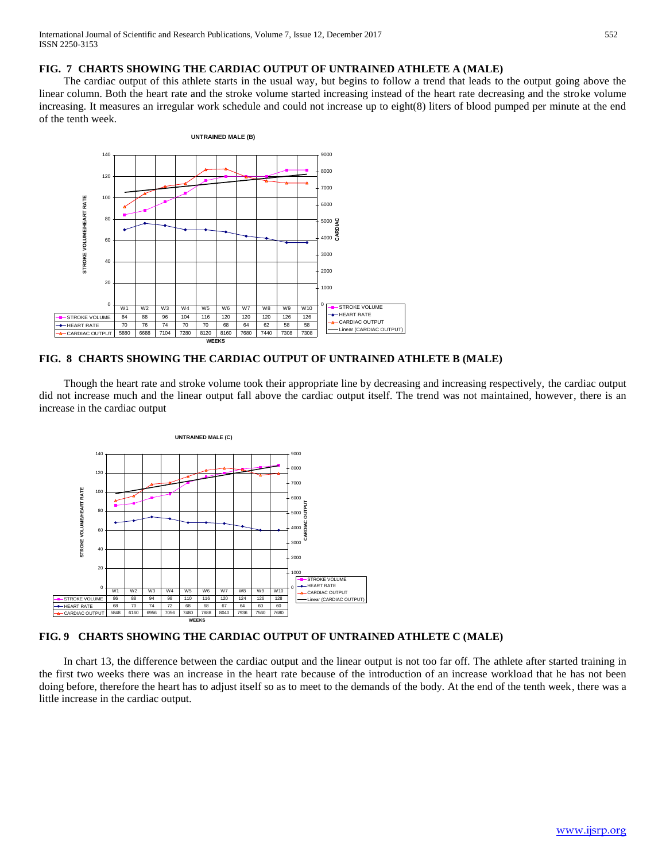## **FIG. 7 CHARTS SHOWING THE CARDIAC OUTPUT OF UNTRAINED ATHLETE A (MALE)**

 The cardiac output of this athlete starts in the usual way, but begins to follow a trend that leads to the output going above the linear column. Both the heart rate and the stroke volume started increasing instead of the heart rate decreasing and the stroke volume increasing. It measures an irregular work schedule and could not increase up to eight(8) liters of blood pumped per minute at the end of the tenth week.



# **FIG. 8 CHARTS SHOWING THE CARDIAC OUTPUT OF UNTRAINED ATHLETE B (MALE)**

 Though the heart rate and stroke volume took their appropriate line by decreasing and increasing respectively, the cardiac output did not increase much and the linear output fall above the cardiac output itself. The trend was not maintained, however, there is an increase in the cardiac output



# **FIG. 9 CHARTS SHOWING THE CARDIAC OUTPUT OF UNTRAINED ATHLETE C (MALE)**

 In chart 13, the difference between the cardiac output and the linear output is not too far off. The athlete after started training in the first two weeks there was an increase in the heart rate because of the introduction of an increase workload that he has not been doing before, therefore the heart has to adjust itself so as to meet to the demands of the body. At the end of the tenth week, there was a little increase in the cardiac output.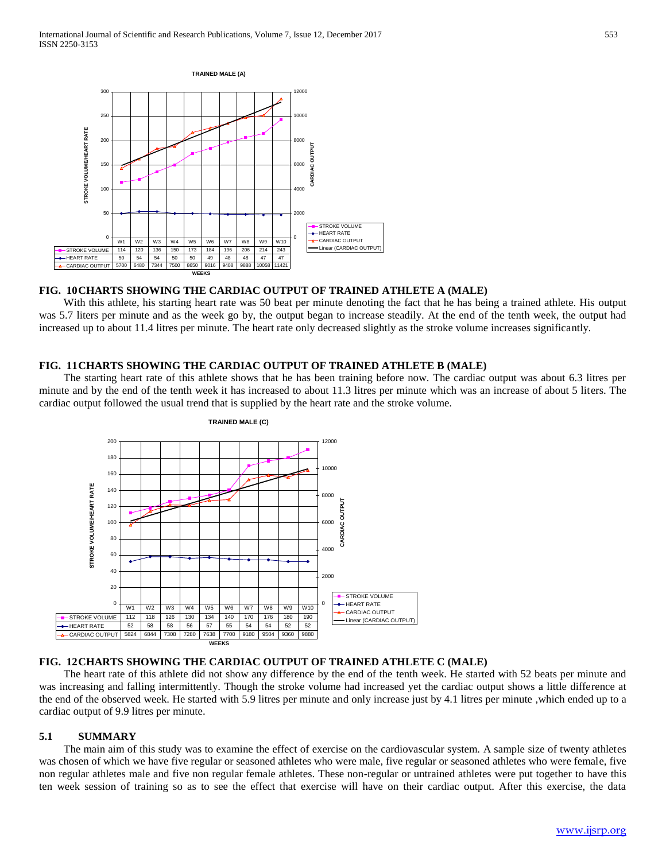

#### **FIG. 10CHARTS SHOWING THE CARDIAC OUTPUT OF TRAINED ATHLETE A (MALE)**

 With this athlete, his starting heart rate was 50 beat per minute denoting the fact that he has being a trained athlete. His output was 5.7 liters per minute and as the week go by, the output began to increase steadily. At the end of the tenth week, the output had increased up to about 11.4 litres per minute. The heart rate only decreased slightly as the stroke volume increases significantly.

#### **FIG. 11CHARTS SHOWING THE CARDIAC OUTPUT OF TRAINED ATHLETE B (MALE)**

 The starting heart rate of this athlete shows that he has been training before now. The cardiac output was about 6.3 litres per minute and by the end of the tenth week it has increased to about 11.3 litres per minute which was an increase of about 5 liters. The cardiac output followed the usual trend that is supplied by the heart rate and the stroke volume.



#### **FIG. 12CHARTS SHOWING THE CARDIAC OUTPUT OF TRAINED ATHLETE C (MALE)**

 The heart rate of this athlete did not show any difference by the end of the tenth week. He started with 52 beats per minute and was increasing and falling intermittently. Though the stroke volume had increased yet the cardiac output shows a little difference at the end of the observed week. He started with 5.9 litres per minute and only increase just by 4.1 litres per minute ,which ended up to a cardiac output of 9.9 litres per minute.

#### **5.1 SUMMARY**

 The main aim of this study was to examine the effect of exercise on the cardiovascular system. A sample size of twenty athletes was chosen of which we have five regular or seasoned athletes who were male, five regular or seasoned athletes who were female, five non regular athletes male and five non regular female athletes. These non-regular or untrained athletes were put together to have this ten week session of training so as to see the effect that exercise will have on their cardiac output. After this exercise, the data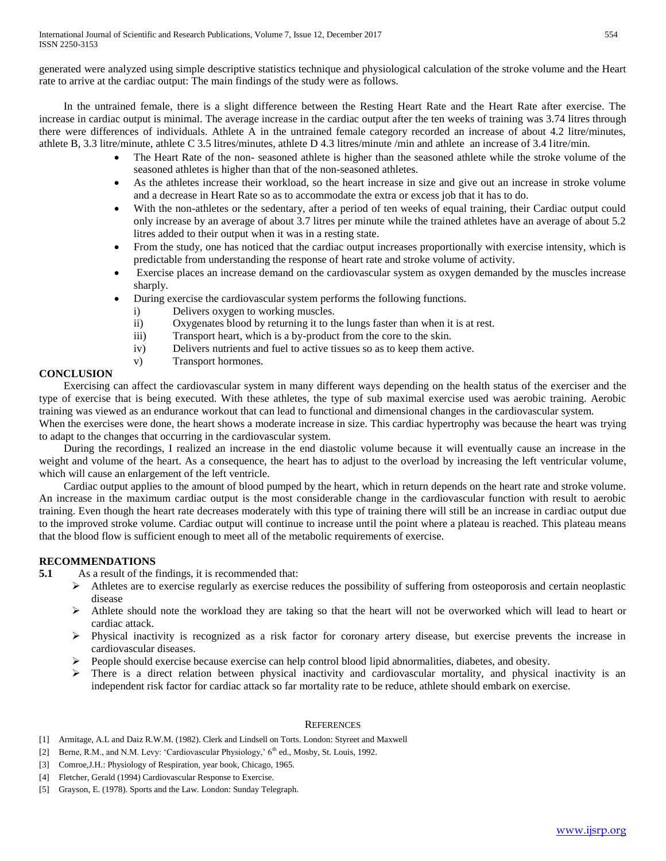generated were analyzed using simple descriptive statistics technique and physiological calculation of the stroke volume and the Heart rate to arrive at the cardiac output: The main findings of the study were as follows.

 In the untrained female, there is a slight difference between the Resting Heart Rate and the Heart Rate after exercise. The increase in cardiac output is minimal. The average increase in the cardiac output after the ten weeks of training was 3.74 litres through there were differences of individuals. Athlete A in the untrained female category recorded an increase of about 4.2 litre/minutes, athlete B, 3.3 litre/minute, athlete C 3.5 litres/minutes, athlete D 4.3 litres/minute /min and athlete an increase of 3.4 litre/min.

- The Heart Rate of the non- seasoned athlete is higher than the seasoned athlete while the stroke volume of the seasoned athletes is higher than that of the non-seasoned athletes.
- As the athletes increase their workload, so the heart increase in size and give out an increase in stroke volume and a decrease in Heart Rate so as to accommodate the extra or excess job that it has to do.
- With the non-athletes or the sedentary, after a period of ten weeks of equal training, their Cardiac output could only increase by an average of about 3.7 litres per minute while the trained athletes have an average of about 5.2 litres added to their output when it was in a resting state.
- From the study, one has noticed that the cardiac output increases proportionally with exercise intensity, which is predictable from understanding the response of heart rate and stroke volume of activity.
- Exercise places an increase demand on the cardiovascular system as oxygen demanded by the muscles increase sharply.
- During exercise the cardiovascular system performs the following functions.
	- i) Delivers oxygen to working muscles.
	- ii) Oxygenates blood by returning it to the lungs faster than when it is at rest.
	- iii) Transport heart, which is a by-product from the core to the skin.
	- iv) Delivers nutrients and fuel to active tissues so as to keep them active.
	- v) Transport hormones.

## **CONCLUSION**

 Exercising can affect the cardiovascular system in many different ways depending on the health status of the exerciser and the type of exercise that is being executed. With these athletes, the type of sub maximal exercise used was aerobic training. Aerobic training was viewed as an endurance workout that can lead to functional and dimensional changes in the cardiovascular system. When the exercises were done, the heart shows a moderate increase in size. This cardiac hypertrophy was because the heart was trying

to adapt to the changes that occurring in the cardiovascular system.

 During the recordings, I realized an increase in the end diastolic volume because it will eventually cause an increase in the weight and volume of the heart. As a consequence, the heart has to adjust to the overload by increasing the left ventricular volume, which will cause an enlargement of the left ventricle.

 Cardiac output applies to the amount of blood pumped by the heart, which in return depends on the heart rate and stroke volume. An increase in the maximum cardiac output is the most considerable change in the cardiovascular function with result to aerobic training. Even though the heart rate decreases moderately with this type of training there will still be an increase in cardiac output due to the improved stroke volume. Cardiac output will continue to increase until the point where a plateau is reached. This plateau means that the blood flow is sufficient enough to meet all of the metabolic requirements of exercise.

## **RECOMMENDATIONS**

**5.1** As a result of the findings, it is recommended that:

- $\triangleright$  Athletes are to exercise regularly as exercise reduces the possibility of suffering from osteoporosis and certain neoplastic disease
- $\triangleright$  Athlete should note the workload they are taking so that the heart will not be overworked which will lead to heart or cardiac attack.
- Physical inactivity is recognized as a risk factor for coronary artery disease, but exercise prevents the increase in cardiovascular diseases.
- $\triangleright$  People should exercise because exercise can help control blood lipid abnormalities, diabetes, and obesity.
- $\triangleright$  There is a direct relation between physical inactivity and cardiovascular mortality, and physical inactivity is an independent risk factor for cardiac attack so far mortality rate to be reduce, athlete should embark on exercise.

#### **REFERENCES**

- [1] Armitage, A.L and Daiz R.W.M. (1982). Clerk and Lindsell on Torts. London: Styreet and Maxwell
- [2] Berne, R.M., and N.M. Levy: 'Cardiovascular Physiology,' 6<sup>th</sup> ed., Mosby, St. Louis, 1992.
- [3] Comroe,J.H.: Physiology of Respiration, year book, Chicago, 1965.
- [4] Fletcher, Gerald (1994) Cardiovascular Response to Exercise.
- [5] Grayson, E. (1978). Sports and the Law. London: Sunday Telegraph.